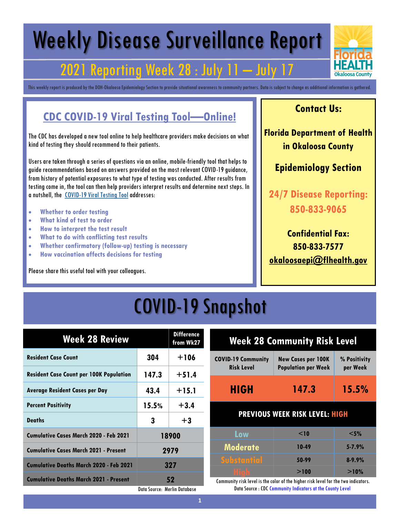# Weekly Disease Surveillance Report

## **2021 Reporting Week 28 : July 11**

This weekly report is produced by the DOH-Okaloosa Epidemiology Section to provide situational awareness to community partners. Data is subject to change as additional information is gathered.

#### **CDC COVID-19 Viral Testing Tool—Online!**

The CDC has developed a new tool online to help healthcare providers make decisions on what kind of testing they should recommend to their patients.

Users are taken through a series of questions via an online, mobile-friendly tool that helps to guide recommendations based on answers provided on the most relevant COVID-19 guidance, from history of potential exposures to what type of testing was conducted. After results from testing come in, the tool can then help providers interpret results and determine next steps. In a nutshell, the [COVID-19 Viral Testing Tool](https://t.emailupdates.cdc.gov/r/?id=h48fa7f19%2C14342cbe%2C143440b7&ACSTrackingID=USCDC_2146-DM59426&ACSTrackingLabel=Lab%20Advisory%3A%20CDC%20Launches%20New%20COVID-19%20Viral%20Testing%20Tool&s=3Rhr5toakqGi6RFF81FtLaq7F4fNa0n9yJQCW-Mtybk) addresses:

- **Whether to order testing**
- **What kind of test to order**
- **How to interpret the test result**
- **What to do with conflicting test results**
- **Whether confirmatory (follow-up) testing is necessary**
- **How vaccination affects decisions for testing**

Please share this useful tool with your colleagues.

#### **Contact Us:**

**Florida Department of Health in Okaloosa County**

#### **Epidemiology Section**

**24/7 Disease Reporting: 850-833-9065**

**Confidential Fax: 850-833-7577 [okaloosaepi@flhealth.gov](mailto:okaloosaepi@flhealth.gov)**

## COVID-19 Snapshot

| <b>Week 28 Review</b>                          |                              | <b>Difference</b><br>from Wk27 |    |
|------------------------------------------------|------------------------------|--------------------------------|----|
| <b>Resident Case Count</b>                     | 304                          | $+106$                         | CC |
| <b>Resident Case Count per 100K Population</b> | 147.3                        | $+51.4$                        |    |
| <b>Average Resident Cases per Day</b>          | 43.4                         | $+15.1$                        |    |
| <b>Percent Positivity</b>                      | 15.5%                        | $+3.4$                         |    |
| <b>Deaths</b>                                  | 3                            | $+3$                           |    |
| <b>Cumulative Cases March 2020 - Feb 2021</b>  |                              | 18900                          |    |
| <b>Cumulative Cases March 2021 - Present</b>   | 2979                         |                                |    |
| <b>Cumulative Deaths March 2020 - Feb 2021</b> |                              | 327                            |    |
| <b>Cumulative Deaths March 2021 - Present</b>  |                              | 52                             | (r |
|                                                | Data Source: Merlin Database |                                |    |

| <b>Week 28 Community Risk Level</b>            |                                                         |                          |
|------------------------------------------------|---------------------------------------------------------|--------------------------|
| <b>COVID-19 Community</b><br><b>Risk Level</b> | <b>New Cases per 100K</b><br><b>Population per Week</b> | % Positivity<br>per Week |
| <b>HIGH</b>                                    | 147.3                                                   | 15.5%                    |
| <b>PREVIOUS WEEK RISK LEVEL: HIGH</b>          |                                                         |                          |
| Low                                            | $<$ 10                                                  | $<$ 5%                   |
| <b>Moderate</b>                                | 10-49                                                   | $5 - 7.9%$               |
| <b>Substantial</b>                             | 50-99                                                   | $8 - 9.9%$               |
| <u>High</u>                                    | >100                                                    | >10%                     |

ommunity risk level is the color of the higher risk level for the two indicators. Data Source : CDC Community Indicators at the County Level

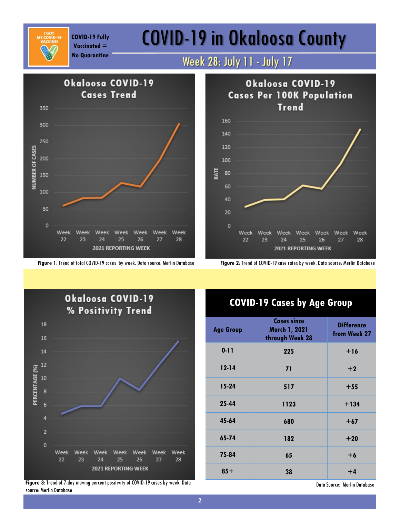**Vaccinated =** 

## COVID-19 Fully **COVID-19 in Okaloosa County**

### **No Quarantine** Week 28: July 11 - July 17





**Figure 1**: Trend of total COVID-19 cases by week. Data source: Merlin Database **Figure 2**: Trend of COVID-19 case rates by week. Data source: Merlin Database



**Figure 3**: Trend of 7-day moving percent positivity of COVID-19 cases by week. Data source: Merlin Database

#### **COVID-19 Cases by Age Group**

| <b>Age Group</b> | <b>Cases since</b><br>March 1, 2021<br>through Week 28 | <b>Difference</b><br>from Week 27 |
|------------------|--------------------------------------------------------|-----------------------------------|
| $0 - 11$         | 225                                                    | $+16$                             |
| $12 - 14$        | 71                                                     | $+2$                              |
| $15-24$          | 517                                                    | $+55$                             |
| 25-44            | 1123                                                   | $+134$                            |
| 45-64            | 680                                                    | $+67$                             |
| 65-74            | 182                                                    | $+20$                             |
| 75-84            | 65                                                     | $+6$                              |
| $85+$            | 38                                                     | $+4$                              |

Data Source: Merlin Database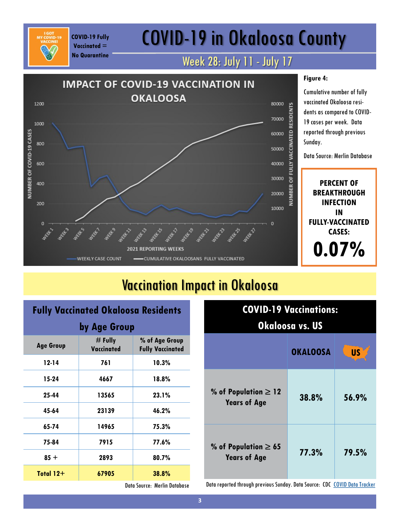## COVID-19 in Okaloosa County

### Week 28: July 11 - July 17



### Vaccination Impact in Okaloosa

#### **Fully Vaccinated Okaloosa Residents**

**COVID-19 Fully Vaccinated = No Quarantine**

| by Age Group     |                         |                                           |
|------------------|-------------------------|-------------------------------------------|
| <b>Age Group</b> | $#$ Fully<br>Vaccinated | % of Age Group<br><b>Fully Vaccinated</b> |
| 12-14            | 761                     | 10.3%                                     |
| 15-24            | 4667                    | 18.8%                                     |
| 25-44            | 13565                   | 23.1%                                     |
| 45-64            | 23139                   | 46.2%                                     |
| 65-74            | 14965                   | 75.3%                                     |
| 75-84            | 7915                    | 77.6%                                     |
| $85 +$           | 2893                    | 80.7%                                     |
| Total $12+$      | 67905                   | 38.8%                                     |

| <b>COVID-19 Vaccinations:</b><br>Okaloosa vs. US                   |       |       |  |
|--------------------------------------------------------------------|-------|-------|--|
| <b>US</b><br><b>OKALOOSA</b>                                       |       |       |  |
| % of Population $\geq 12$<br><b>Years of Age</b>                   | 38.8% | 56.9% |  |
| % of Population $\geq 65$<br>79.5%<br>77.3%<br><b>Years of Age</b> |       |       |  |

Data Source: Merlin Database

Data reported through previous Sunday. Data Source: CDC [COVID Data Tracker](https://covid.cdc.gov/covid-data-tracker/#vaccinations)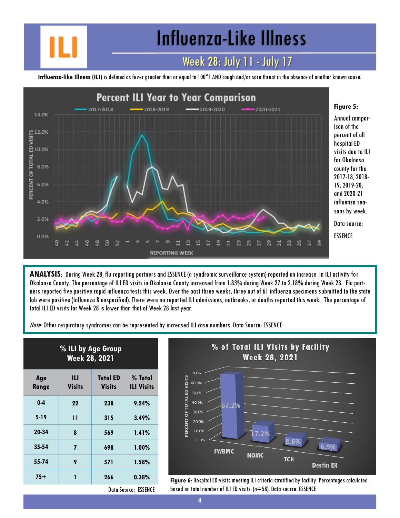Influenza-Like Illness

### Week 28: July 11 - July 17

**Influenza-like Illness (ILI)** is defined as fever greater than or equal to 100°F AND cough and/or sore throat in the absence of another known cause.



**ANALYSIS**: During Week 28, flu reporting partners and ESSENCE (a syndromic surveillance system) reported an increase in ILI activity for Okaloosa County. The percentage of ILI ED visits in Okaloosa County increased from 1.83% during Week 27 to 2.18% during Week 28. Flu partners reported five positive rapid influenza tests this week. Over the past three weeks, three out of 61 influenza specimens submitted to the state lab were positive (Influenza B unspecified). There were no reported ILI admissions, outbreaks, or deaths reported this week. The percentage of total ILI ED visits for Week 28 is lower than that of Week 28 last year.

Note: Other respiratory syndromes can be represented by increased ILI case numbers. Data Source: ESSENCE

| % ILI by Age Group<br><b>Week 28, 2021</b> |                    |                                  |                              |
|--------------------------------------------|--------------------|----------------------------------|------------------------------|
| Age<br>Range                               | Ш<br><b>Visits</b> | <b>Total ED</b><br><b>Visits</b> | % Total<br><b>ILI Visits</b> |
| $0-4$                                      | 22                 | 238                              | 9.24%                        |
| $5-19$                                     | 11                 | 315                              | 3.49%                        |
| 20-34                                      | 8                  | 569                              | 1.41%                        |
| $35 - 54$                                  | 7                  | 698                              | 1.00%                        |
| 55-74                                      | 9                  | 571                              | 1.58%                        |
| $75+$                                      | 1                  | 266                              | 0.38%                        |



**75+ <sup>1</sup> <sup>266</sup> 0.38% Figure 6**: Hospital ED visits meeting ILI criteria stratified by facility. Percentages calculated based on total number of ILI ED visits. (n=58). Data source: ESSENCE

Data Source: ESSENCE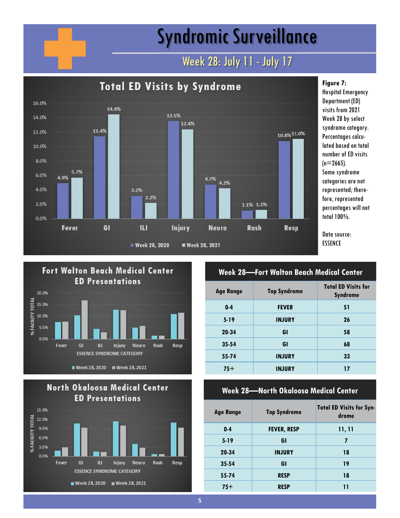## Syndromic Surveillance

### Week 28: July 11 - July 17



Hospital Emergency Department (ED) visits from 2021 Week 28 by select syndrome category. Percentages calculated based on total number of ED visits  $(n=2665)$ . Some syndrome categories are not represented; therefore, represented percentages will not total 100%.





#### **Week 28—Fort Walton Beach Medical Center**

| <b>Age Range</b> | <b>Top Syndrome</b> | <b>Total ED Visits for</b><br><b>Syndrome</b> |
|------------------|---------------------|-----------------------------------------------|
| $0 - 4$          | <b>FEVER</b>        | 51                                            |
| $5 - 19$         | <b>INJURY</b>       | 26                                            |
| 20-34            | GI                  | 58                                            |
| $35 - 54$        | GI                  | 68                                            |
| 55-74            | <b>INJURY</b>       | 33                                            |
| $75+$            | <b>INJURY</b>       | 17                                            |

#### **Week 28—North Okaloosa Medical Center**

| <b>Age Range</b> | <b>Top Syndrome</b> | <b>Total ED Visits for Syn-</b><br>drome |
|------------------|---------------------|------------------------------------------|
| $0 - 4$          | <b>FEVER, RESP</b>  | 11, 11                                   |
| $5 - 19$         | GI                  | 7                                        |
| 20-34            | <b>INJURY</b>       | 18                                       |
| $35 - 54$        | GI                  | 19                                       |
| 55-74            | <b>RESP</b>         | 18                                       |
| $75+$            | <b>RESP</b>         | 11                                       |